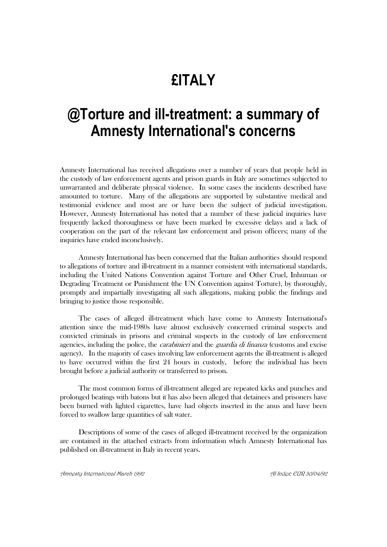## **£ITALY**

## **@Torture and ill-treatment: a summary of Amnesty International's concerns**

Amnesty International has received allegations over a number of years that people held in the custody of law enforcement agents and prison guards in Italy are sometimes subjected to unwarranted and deliberate physical violence. In some cases the incidents described have amounted to torture. Many of the allegations are supported by substantive medical and testimonial evidence and most are or have been the subject of judicial investigation. However, Amnesty International has noted that a number of these judicial inquiries have frequently lacked thoroughness or have been marked by excessive delays and a lack of cooperation on the part of the relevant law enforcement and prison officers; many of the inquiries have ended inconclusively.

Amnesty International has been concerned that the Italian authorities should respond to allegations of torture and ill-treatment in a manner consistent with international standards, including the United Nations Convention against Torture and Other Cruel, Inhuman or Degrading Treatment or Punishment (the UN Convention against Torture), by thoroughly, promptly and impartially investigating all such allegations, making public the findings and bringing to justice those responsible.

The cases of alleged ill-treatment which have come to Amnesty International's attention since the mid-1980s have almost exclusively concerned criminal suspects and convicted criminals in prisons and criminal suspects in the custody of law enforcement agencies, including the police, the *carabinieri* and the *guardia di finanza* (customs and excise agency). In the majority of cases involving law enforcement agents the ill-treatment is alleged to have occurred within the first 24 hours in custody, before the individual has been brought before a judicial authority or transferred to prison.

The most common forms of ill-treatment alleged are repeated kicks and punches and prolonged beatings with batons but it has also been alleged that detainees and prisoners have been burned with lighted cigarettes, have had objects inserted in the anus and have been forced to swallow large quantities of salt water.

Descriptions of some of the cases of alleged ill-treatment received by the organization are contained in the attached extracts from information which Amnesty International has published on ill-treatment in Italy in recent years.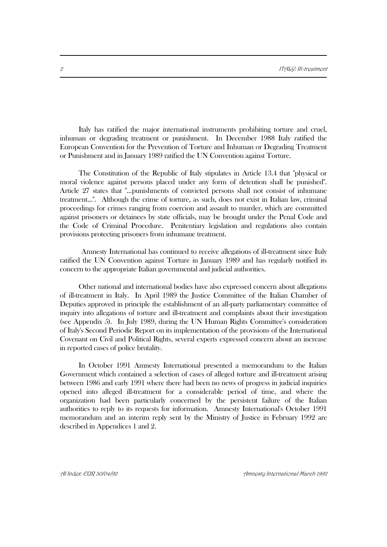Italy has ratified the major international instruments prohibiting torture and cruel, inhuman or degrading treatment or punishment. In December 1988 Italy ratified the European Convention for the Prevention of Torture and Inhuman or Degrading Treatment or Punishment and in January 1989 ratified the UN Convention against Torture.

The Constitution of the Republic of Italy stipulates in Article 13.4 that "physical or moral violence against persons placed under any form of detention shall be punished". Article 27 states that "...punishments of convicted persons shall not consist of inhumane treatment...". Although the crime of torture, as such, does not exist in Italian law, criminal proceedings for crimes ranging from coercion and assault to murder, which are committed against prisoners or detainees by state officials, may be brought under the Penal Code and the Code of Criminal Procedure. Penitentiary legislation and regulations also contain provisions protecting prisoners from inhumane treatment.

Amnesty International has continued to receive allegations of ill-treatment since Italy ratified the UN Convention against Torture in January 1989 and has regularly notified its concern to the appropriate Italian governmental and judicial authorities.

Other national and international bodies have also expressed concern about allegations of ill-treatment in Italy. In April 1989 the Justice Committee of the Italian Chamber of Deputies approved in principle the establishment of an all-party parliamentary committee of inquiry into allegations of torture and ill-treatment and complaints about their investigation (see Appendix 5). In July 1989, during the UN Human Rights Committee's consideration of Italy's Second Periodic Report on its implementation of the provisions of the International Covenant on Civil and Political Rights, several experts expressed concern about an increase in reported cases of police brutality.

In October 1991 Amnesty International presented a memorandum to the Italian Government which contained a selection of cases of alleged torture and ill-treatment arising between 1986 and early 1991 where there had been no news of progress in judicial inquiries opened into alleged ill-treatment for a considerable period of time, and where the organization had been particularly concerned by the persistent failure of the Italian authorities to reply to its requests for information. Amnesty International's October 1991 memorandum and an interim reply sent by the Ministry of Justice in February 1992 are described in Appendices 1 and 2.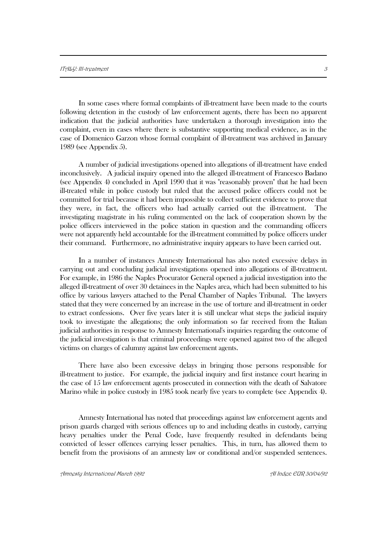In some cases where formal complaints of ill-treatment have been made to the courts following detention in the custody of law enforcement agents, there has been no apparent indication that the judicial authorities have undertaken a thorough investigation into the complaint, even in cases where there is substantive supporting medical evidence, as in the case of Domenico Garzon whose formal complaint of ill-treatment was archived in January 1989 (see Appendix 5).

A number of judicial investigations opened into allegations of ill-treatment have ended inconclusively. A judicial inquiry opened into the alleged ill-treatment of Francesco Badano (see Appendix 4) concluded in April 1990 that it was "reasonably proven" that he had been ill-treated while in police custody but ruled that the accused police officers could not be committed for trial because it had been impossible to collect sufficient evidence to prove that they were, in fact, the officers who had actually carried out the ill-treatment. The investigating magistrate in his ruling commented on the lack of cooperation shown by the police officers interviewed in the police station in question and the commanding officers were not apparently held accountable for the ill-treatment committed by police officers under their command. Furthermore, no administrative inquiry appears to have been carried out.

In a number of instances Amnesty International has also noted excessive delays in carrying out and concluding judicial investigations opened into allegations of ill-treatment. For example, in 1986 the Naples Procurator General opened a judicial investigation into the alleged ill-treatment of over 30 detainees in the Naples area, which had been submitted to his office by various lawyers attached to the Penal Chamber of Naples Tribunal. The lawyers stated that they were concerned by an increase in the use of torture and ill-treatment in order to extract confessions. Over five years later it is still unclear what steps the judicial inquiry took to investigate the allegations; the only information so far received from the Italian judicial authorities in response to Amnesty International's inquiries regarding the outcome of the judicial investigation is that criminal proceedings were opened against two of the alleged victims on charges of calumny against law enforcement agents.

There have also been excessive delays in bringing those persons responsible for ill-treatment to justice. For example, the judicial inquiry and first instance court hearing in the case of 15 law enforcement agents prosecuted in connection with the death of Salvatore Marino while in police custody in 1985 took nearly five years to complete (see Appendix 4).

Amnesty International has noted that proceedings against law enforcement agents and prison guards charged with serious offences up to and including deaths in custody, carrying heavy penalties under the Penal Code, have frequently resulted in defendants being convicted of lesser offences carrying lesser penalties. This, in turn, has allowed them to benefit from the provisions of an amnesty law or conditional and/or suspended sentences.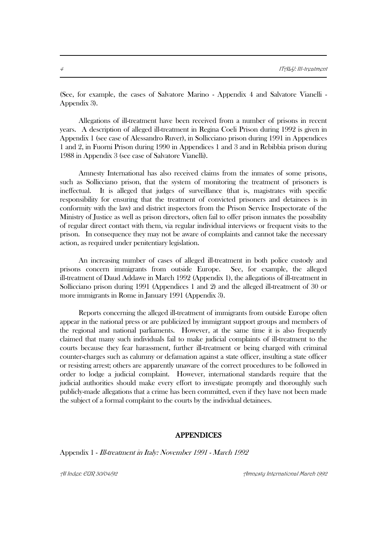(See, for example, the cases of Salvatore Marino - Appendix 4 and Salvatore Vianelli - Appendix 3).

Allegations of ill-treatment have been received from a number of prisons in recent years. A description of alleged ill-treatment in Regina Coeli Prison during 1992 is given in Appendix 1 (see case of Alessandro Ruver), in Sollicciano prison during 1991 in Appendices 1 and 2, in Fuorni Prison during 1990 in Appendices 1 and 3 and in Rebibbia prison during 1988 in Appendix 3 (see case of Salvatore Vianelli).

Amnesty International has also received claims from the inmates of some prisons, such as Sollicciano prison, that the system of monitoring the treatment of prisoners is ineffectual. It is alleged that judges of surveillance (that is, magistrates with specific responsibility for ensuring that the treatment of convicted prisoners and detainees is in conformity with the law) and district inspectors from the Prison Service Inspectorate of the Ministry of Justice as well as prison directors, often fail to offer prison inmates the possibility of regular direct contact with them, via regular individual interviews or frequent visits to the prison. In consequence they may not be aware of complaints and cannot take the necessary action, as required under penitentiary legislation.

An increasing number of cases of alleged ill-treatment in both police custody and prisons concern immigrants from outside Europe. See, for example, the alleged ill-treatment of Daud Addawe in March 1992 (Appendix 1), the allegations of ill-treatment in Sollicciano prison during 1991 (Appendices 1 and 2) and the alleged ill-treatment of 30 or more immigrants in Rome in January 1991 (Appendix 3).

Reports concerning the alleged ill-treatment of immigrants from outside Europe often appear in the national press or are publicized by immigrant support groups and members of the regional and national parliaments. However, at the same time it is also frequently claimed that many such individuals fail to make judicial complaints of ill-treatment to the courts because they fear harassment, further ill-treatment or being charged with criminal counter-charges such as calumny or defamation against a state officer, insulting a state officer or resisting arrest; others are apparently unaware of the correct procedures to be followed in order to lodge a judicial complaint. However, international standards require that the judicial authorities should make every effort to investigate promptly and thoroughly such publicly-made allegations that a crime has been committed, even if they have not been made the subject of a formal complaint to the courts by the individual detainees.

## APPENDICES

Appendix 1 - Ill-treatment in Italy: November 1991 - March 1992

AI Index: EUR 30/04/92 Amnesty International March 1992